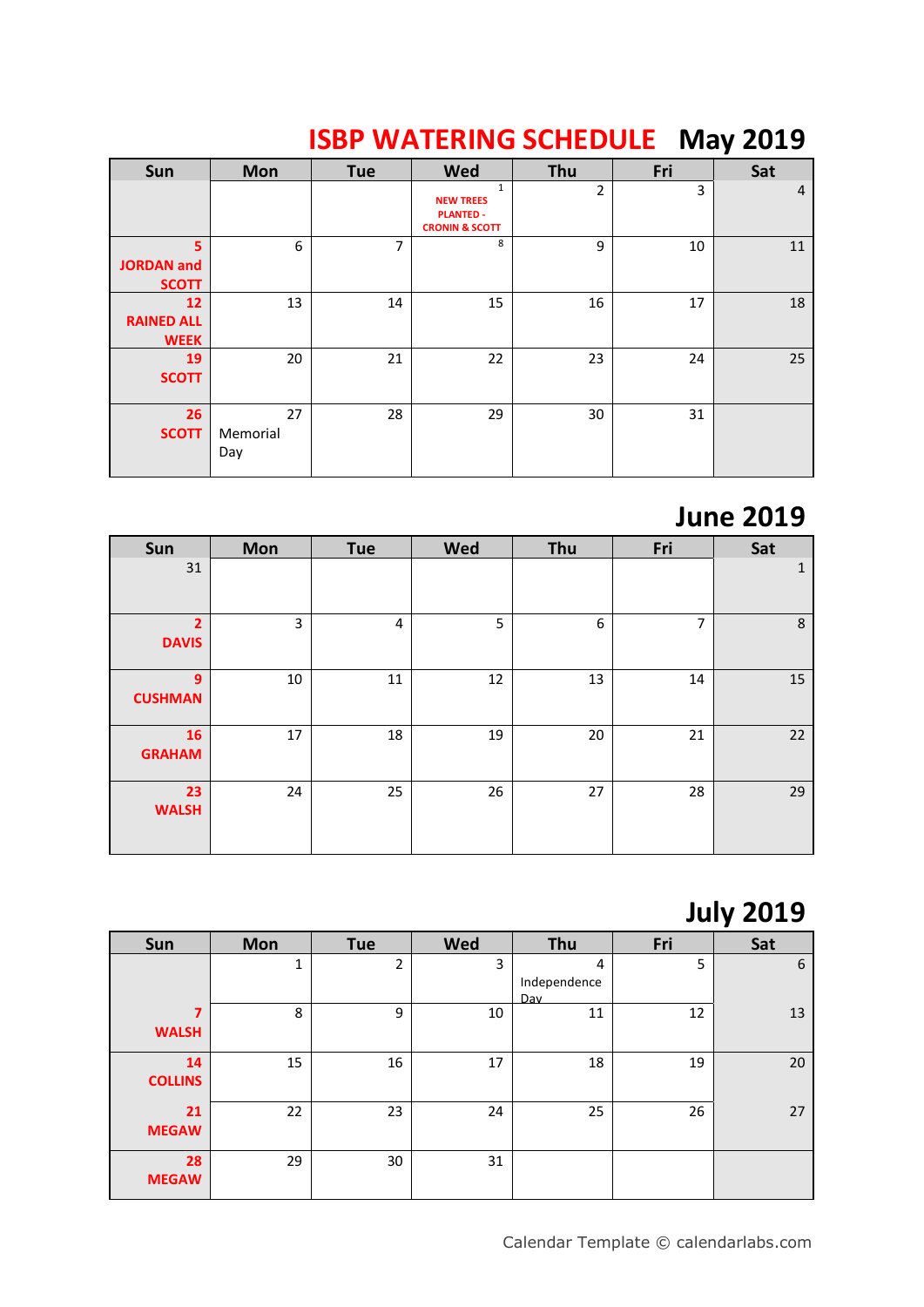| Sun                                    | <b>Mon</b>            | <b>Tue</b>     | <b>Wed</b>                                                                        | Thu | Fri | Sat            |
|----------------------------------------|-----------------------|----------------|-----------------------------------------------------------------------------------|-----|-----|----------------|
|                                        |                       |                | $\mathbf{1}$<br><b>NEW TREES</b><br><b>PLANTED -</b><br><b>CRONIN &amp; SCOTT</b> | 2   | 3   | $\overline{4}$ |
| 5<br><b>JORDAN</b> and<br><b>SCOTT</b> | 6                     | $\overline{7}$ | 8                                                                                 | 9   | 10  | 11             |
| 12<br><b>RAINED ALL</b><br><b>WEEK</b> | 13                    | 14             | 15                                                                                | 16  | 17  | 18             |
| 19<br><b>SCOTT</b>                     | 20                    | 21             | 22                                                                                | 23  | 24  | 25             |
| 26<br><b>SCOTT</b>                     | 27<br>Memorial<br>Day | 28             | 29                                                                                | 30  | 31  |                |

## **ISBP WATERING SCHEDULE May 2019**

#### **June 2019**

| Sun                            | <b>Mon</b> | Tue    | <b>Wed</b> | Thu | Fri            | Sat          |
|--------------------------------|------------|--------|------------|-----|----------------|--------------|
| 31                             |            |        |            |     |                | $\mathbf{1}$ |
| $\overline{2}$<br><b>DAVIS</b> | 3          | 4      | 5          | 6   | $\overline{7}$ | $\,8\,$      |
| 9<br><b>CUSHMAN</b>            | 10         | $11\,$ | 12         | 13  | 14             | 15           |
| 16<br><b>GRAHAM</b>            | 17         | 18     | 19         | 20  | 21             | 22           |
| 23<br><b>WALSH</b>             | 24         | 25     | 26         | 27  | 28             | 29           |

### **July 2019**

| Sun                  | <b>Mon</b> | <b>Tue</b>     | <b>Wed</b> | Thu                      | Fri | Sat |
|----------------------|------------|----------------|------------|--------------------------|-----|-----|
|                      | 1          | $\overline{2}$ | 3          | 4<br>Independence<br>Dav | 5   | 6   |
| 7<br><b>WALSH</b>    | 8          | 9              | 10         | 11                       | 12  | 13  |
| 14<br><b>COLLINS</b> | 15         | 16             | 17         | 18                       | 19  | 20  |
| 21<br><b>MEGAW</b>   | 22         | 23             | 24         | 25                       | 26  | 27  |
| 28<br><b>MEGAW</b>   | 29         | 30             | 31         |                          |     |     |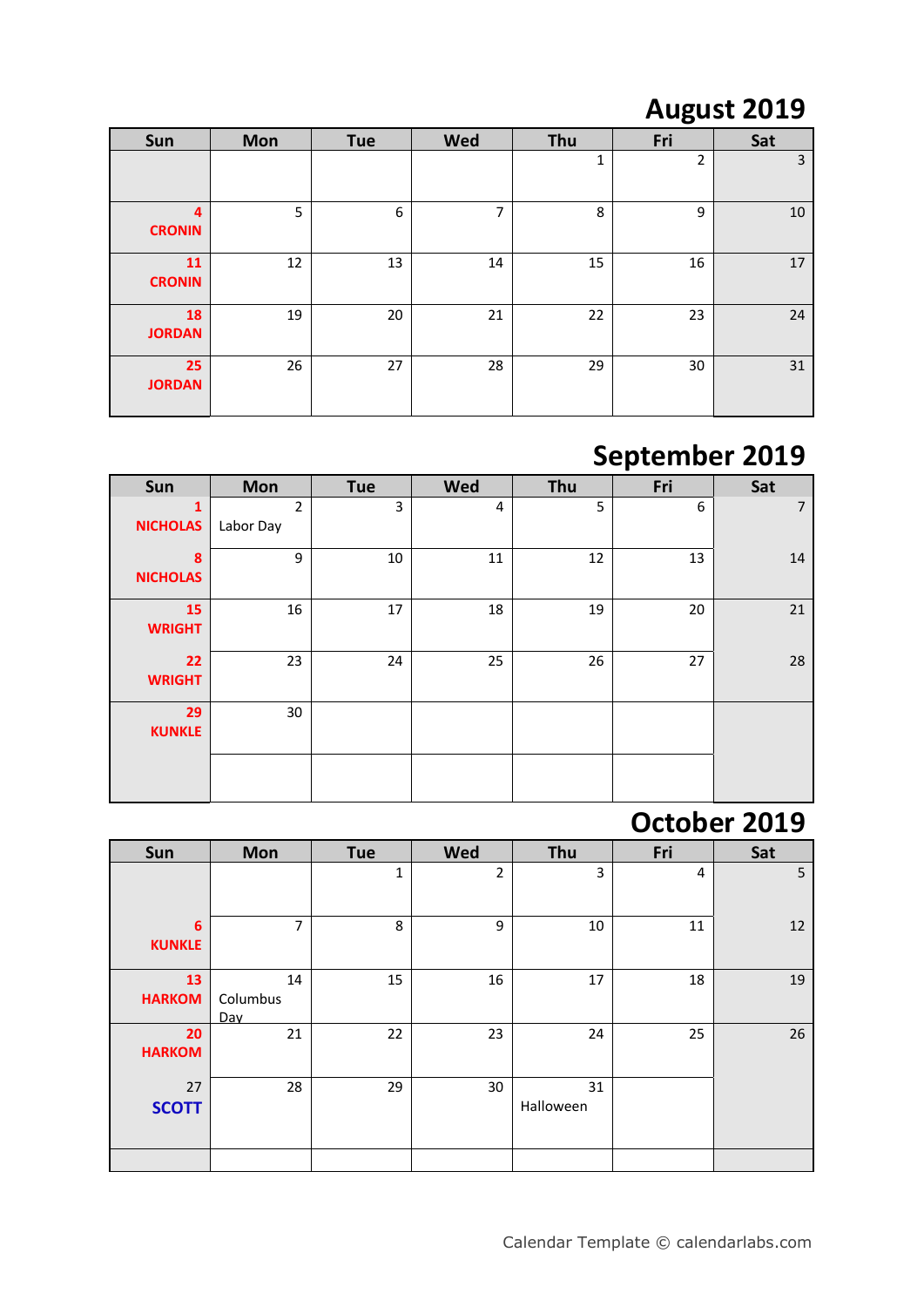## **August 2019**

| Sun                 | <b>Mon</b> | Tue | Wed | Thu | Fri | Sat |
|---------------------|------------|-----|-----|-----|-----|-----|
|                     |            |     |     | 1   | 2   | 3   |
| 4<br><b>CRONIN</b>  | 5          | 6   | 7   | 8   | 9   | 10  |
| 11<br><b>CRONIN</b> | 12         | 13  | 14  | 15  | 16  | 17  |
| 18<br><b>JORDAN</b> | 19         | 20  | 21  | 22  | 23  | 24  |
| 25<br><b>JORDAN</b> | 26         | 27  | 28  | 29  | 30  | 31  |

## **September 2019**

| Sun                  | <b>Mon</b>                  | <b>Tue</b> | <b>Wed</b> | Thu | Fri | Sat            |
|----------------------|-----------------------------|------------|------------|-----|-----|----------------|
| 1<br><b>NICHOLAS</b> | $\overline{2}$<br>Labor Day | 3          | 4          | 5   | 6   | $\overline{7}$ |
| 8<br><b>NICHOLAS</b> | 9                           | 10         | 11         | 12  | 13  | 14             |
| 15<br><b>WRIGHT</b>  | 16                          | 17         | 18         | 19  | 20  | 21             |
| 22<br><b>WRIGHT</b>  | 23                          | 24         | 25         | 26  | 27  | 28             |
| 29<br><b>KUNKLE</b>  | 30                          |            |            |     |     |                |
|                      |                             |            |            |     |     |                |

#### **October 2019**

| Sun                 | <b>Mon</b>            | <b>Tue</b>   | <b>Wed</b>     | Thu             | Fri | Sat |
|---------------------|-----------------------|--------------|----------------|-----------------|-----|-----|
|                     |                       | $\mathbf{1}$ | $\overline{2}$ | 3               | 4   | 5   |
| 6<br><b>KUNKLE</b>  | $\overline{7}$        | 8            | 9              | 10              | 11  | 12  |
| 13<br><b>HARKOM</b> | 14<br>Columbus<br>Dav | 15           | 16             | 17              | 18  | 19  |
| 20<br><b>HARKOM</b> | 21                    | 22           | 23             | 24              | 25  | 26  |
| 27<br><b>SCOTT</b>  | 28                    | 29           | 30             | 31<br>Halloween |     |     |
|                     |                       |              |                |                 |     |     |